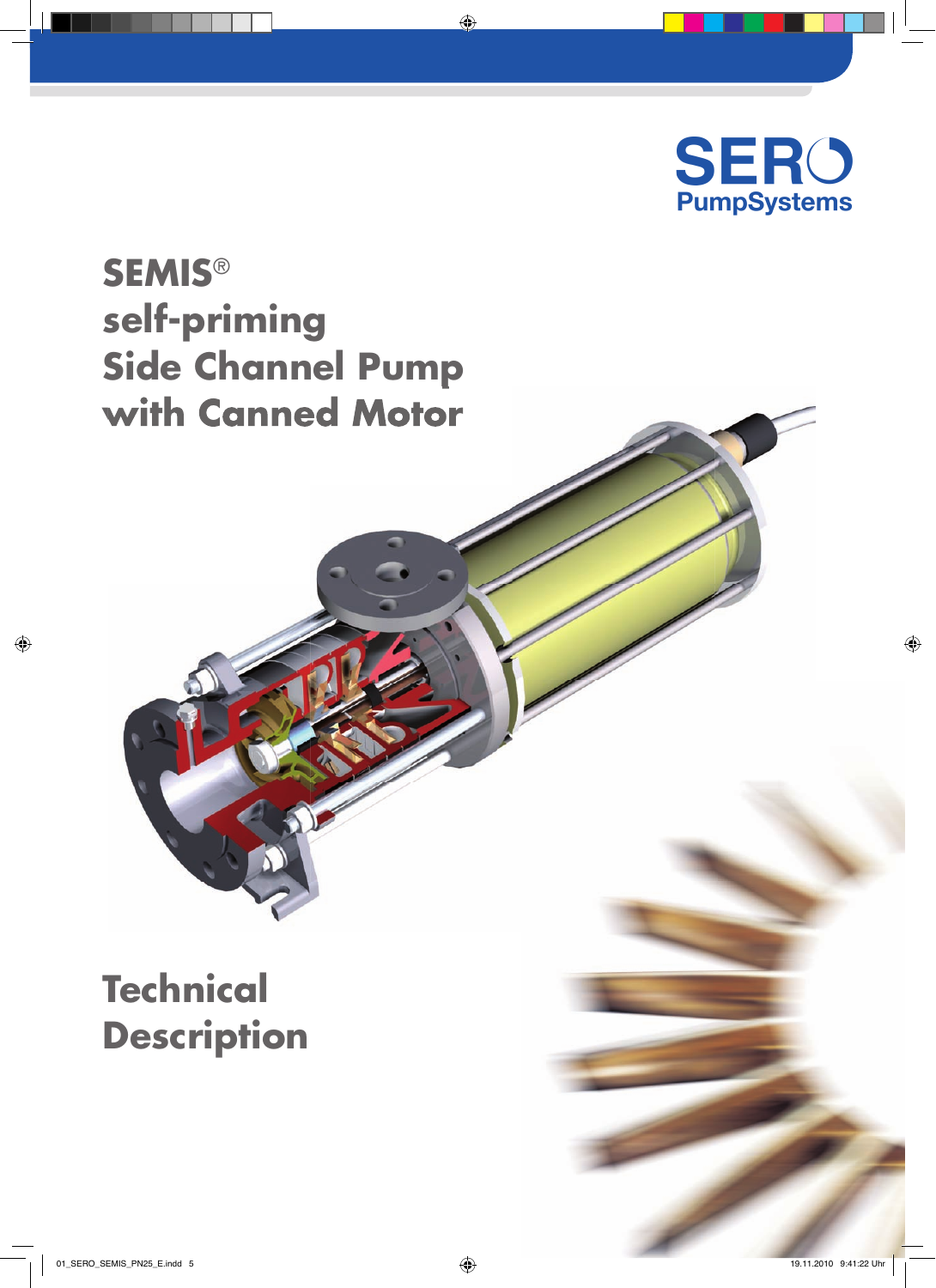

# **SEMIS**® **self-priming Side Channel Pump with Canned Motor**

# **Technical Description**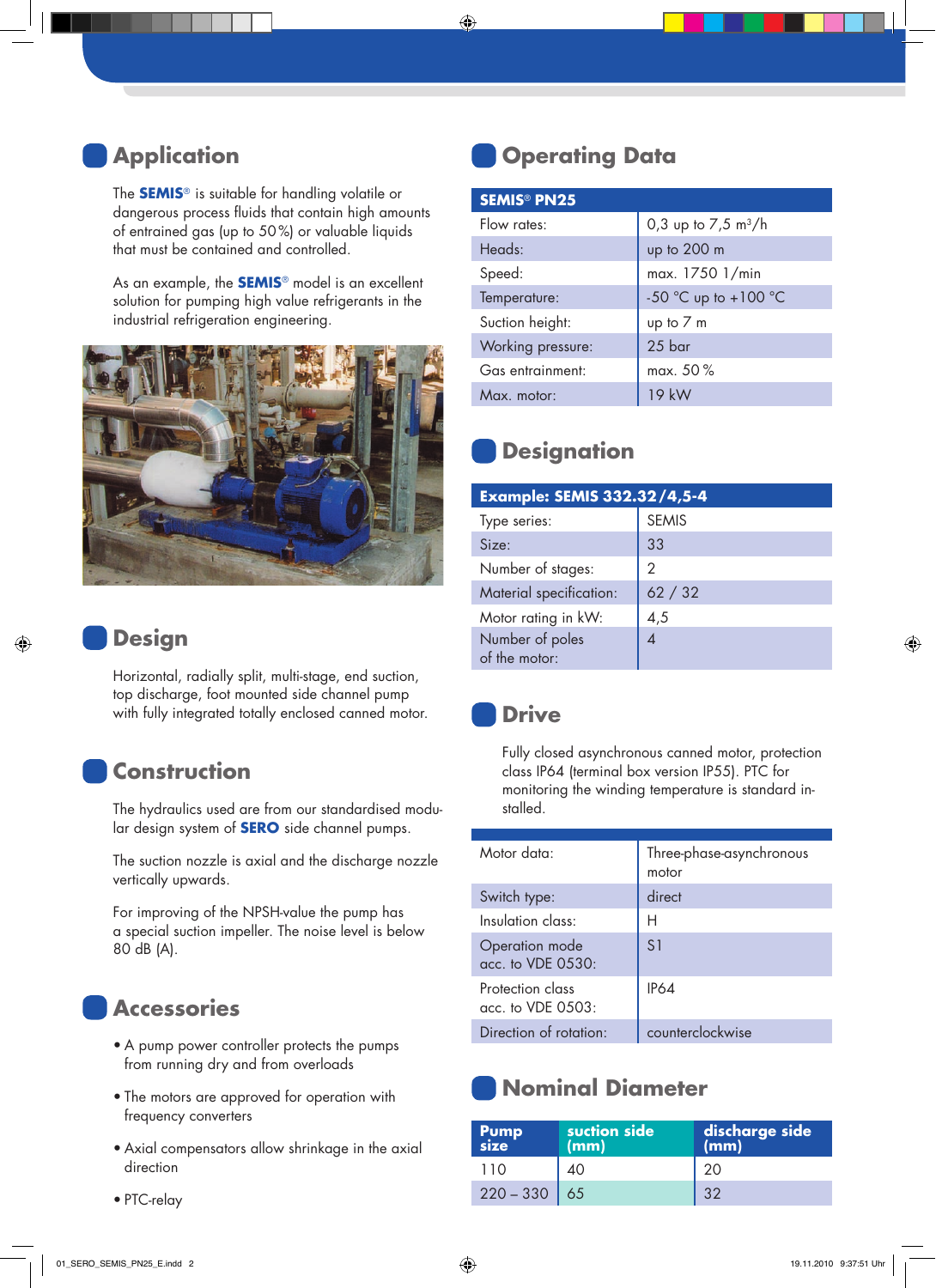### **Application**

The **SEMIS**® is suitable for handling volatile or dangerous process fluids that contain high amounts of entrained gas (up to 50%) or valuable liquids that must be contained and controlled.

As an example, the **SEMIS**® model is an excellent solution for pumping high value refrigerants in the industrial refrigeration engineering.



#### **Design**

Horizontal, radially split, multi-stage, end suction, top discharge, foot mounted side channel pump with fully integrated totally enclosed canned motor.

#### **Construction**

The hydraulics used are from our standardised modular design system of **SERO** side channel pumps.

The suction nozzle is axial and the discharge nozzle vertically upwards.

For improving of the NPSH-value the pump has a special suction impeller. The noise level is below 80 dB (A).

### **Accessories**

- A pump power controller protects the pumps from running dry and from overloads
- The motors are approved for operation with frequency converters
- Axial compensators allow shrinkage in the axial direction

**Operating Data**

| <b>SEMIS<sup>®</sup> PN25</b> |                               |  |
|-------------------------------|-------------------------------|--|
| Flow rates:                   | 0,3 up to $7,5 \text{ m}^3/h$ |  |
| Heads:                        | up to 200 m                   |  |
| Speed:                        | max. 1750 1/min               |  |
| Temperature:                  | -50 °C up to +100 °C          |  |
| Suction height:               | up to 7 m                     |  |
| Working pressure:             | 25 bar                        |  |
| Gas entrainment:              | max. 50%                      |  |
| Max. motor:                   | 19 kW                         |  |

## **Designation**

| <b>Example: SEMIS 332.32/4,5-4</b> |              |  |
|------------------------------------|--------------|--|
| Type series:                       | <b>SEMIS</b> |  |
| Size:                              | 33           |  |
| Number of stages:                  | 2            |  |
| Material specification:            | 62 / 32      |  |
| Motor rating in kW:                | 4,5          |  |
| Number of poles<br>of the motor:   |              |  |

#### **Drive**

Fully closed asynchronous canned motor, protection class IP64 (terminal box version IP55). PTC for monitoring the winding temperature is standard installed.

| Motor data:                             | Three-phase-asynchronous<br>motor |
|-----------------------------------------|-----------------------------------|
| Switch type:                            | direct                            |
| Insulation class:                       | Н                                 |
| Operation mode<br>acc. to VDE 0530:     | S <sub>1</sub>                    |
| Protection class<br>$acc.$ to VDE 0503: | IP64                              |
| Direction of rotation:                  | counterclockwise                  |

## **Nominal Diameter**

| Pump<br>size   | suction side<br>(mm) | discharge side<br>(mm) |
|----------------|----------------------|------------------------|
| 110            | 40                   | 20                     |
| $220 - 330$ 65 |                      | 32                     |

• PTC-relay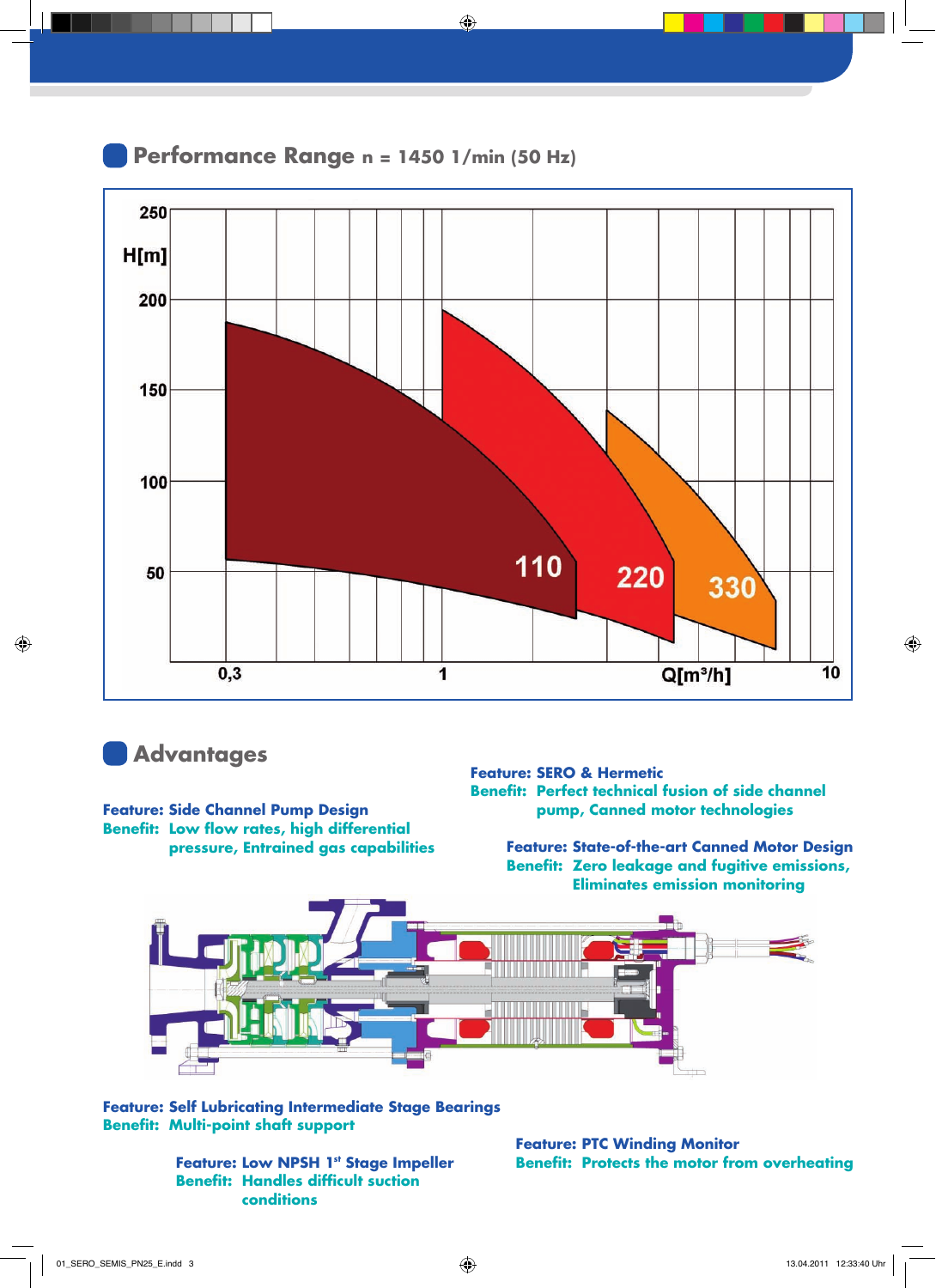



#### **Advantages**

**Feature: Side Channel Pump Design Benefit: Low flow rates, high differential pressure, Entrained gas capabilities**

#### **Feature: SERO & Hermetic Benefit: Perfect technical fusion of side channel pump, Canned motor technologies**

**Feature: State-of-the-art Canned Motor Design Benefit: Zero leakage and fugitive emissions, Eliminates emission monitoring**



**Feature: Self Lubricating Intermediate Stage Bearings Benefit: Multi-point shaft support**

> **Feature: Low NPSH 1st Stage Impeller Benefit: Handles difficult suction conditions**

**Feature: PTC Winding Monitor Benefit: Protects the motor from overheating**